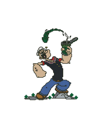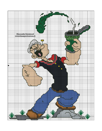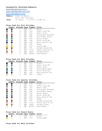# Designed by: Simonetta Sabatucci

[www.ideeapuntocroce.it](http://www.ideeapuntocroce.it/)

[www.ideeapuntocroce.com](http://www.ideeapuntocroce.com/)

# [www.lackyeberry.com](http://www.lackyeberry.com/)

**Fabric:** Aida 14, White 61w X 82h Stitches **Size:** 14 Count, 11.07w X 14.88h cm

### **Floss Used for Full Stitches:**

|    | Symbol Strands Type     |            | Number Color |                   |
|----|-------------------------|------------|--------------|-------------------|
|    | $\mathfrak{D}$          | DMC        | 310          | Black             |
| #  | 2                       | DMC.       | 414          | Steel Gray-DK     |
| ッ  | 2                       | DMC.       | 415          | Pearl Gray        |
| ₹. | 2                       | DMC.       | 666          | Christmas Red-BRT |
|    | 2                       | DMC.       | 699          | Christmas Green   |
| ኍ  | $\mathcal{L}$           | <b>DMC</b> | 702          | Kelly Green       |
| ч. | $\mathcal{L}$           | <b>DMC</b> | 798          | Delft Blue-DK     |
|    | 2                       | DMC.       | 939          | Navy Blue-VY DK   |
| 7  | $\mathcal{L}$           | DMC.       | 945          | Tawny             |
| ∗  | 2                       | <b>DMC</b> | 973          | Canary-BRT        |
| ш  | 2                       | DMC.       | 975          | Golden Brown-DK   |
| ╄  | $\mathcal{D}_{1}^{(1)}$ | <b>DMC</b> | 3716         | Dusty Rose-VY LT  |
| ۳. | $\mathcal{L}$           | <b>DMC</b> | 3826         | Golden Brown      |
| ₩  | $\mathcal{D}_{1}^{(1)}$ | DMC        | B5200        | Snow White        |

### **Floss Used for Half Stitches:**

|   | Symbol Strands Type Number Color |            |     |                 |
|---|----------------------------------|------------|-----|-----------------|
|   |                                  | <b>DMC</b> | 310 | Black           |
| # | 2                                | <b>DMC</b> | 414 | Steel Gray-DK   |
| ッ | 2                                | <b>DMC</b> | 415 | Pearl Gray      |
|   | 2                                | <b>DMC</b> | 699 | Christmas Green |
|   | 2                                | <b>DMC</b> | 798 | Delft Blue-DK   |
|   | 2                                | <b>DMC</b> | 939 | Navy Blue-VY DK |
|   |                                  | DMC.       | 945 | Tawny           |

## **Floss Used for Quarter Stitches:**

|    | Symbol Strands Type Number |            |       | Color             |
|----|----------------------------|------------|-------|-------------------|
|    | 2                          | <b>DMC</b> | 310   | Black             |
| #  | $\mathfrak{D}$             | DMC.       | 414   | Steel Gray-DK     |
| ッ  | 2                          | DMC.       | 415   | Pearl Gray        |
|    | 2                          | DMC.       | 666   | Christmas Red-BRT |
|    | $\mathcal{L}$              | DMC.       | 699   | Christmas Green   |
| ኍ  | 2                          | DMC.       | 702   | Kelly Green       |
| ъ. | 2                          | <b>DMC</b> | 798   | Delft Blue-DK     |
|    | $\mathcal{L}$              | DMC.       | 939   | Navy Blue-VY DK   |
| 7  | 2                          | DMC.       | 945   | Tawny             |
| m. | 2                          | <b>DMC</b> | 975   | Golden Brown-DK   |
| ₩  | $\mathfrak{D}$             | DMC.       | 3716  | Dusty Rose-VY LT  |
| ۳. | $\mathfrak{D}$             | DMC.       | 3826  | Golden Brown      |
| ⋇  | 2                          | <b>DMC</b> | B5200 | Snow White        |

#### **Floss Used for French Knots:**

|                          | Symbol Strands Type Number Color |         |            |
|--------------------------|----------------------------------|---------|------------|
| a ser                    |                                  | DMC 310 | Black      |
| <b>Contract Contract</b> |                                  | DMC 973 | Canary-BRT |